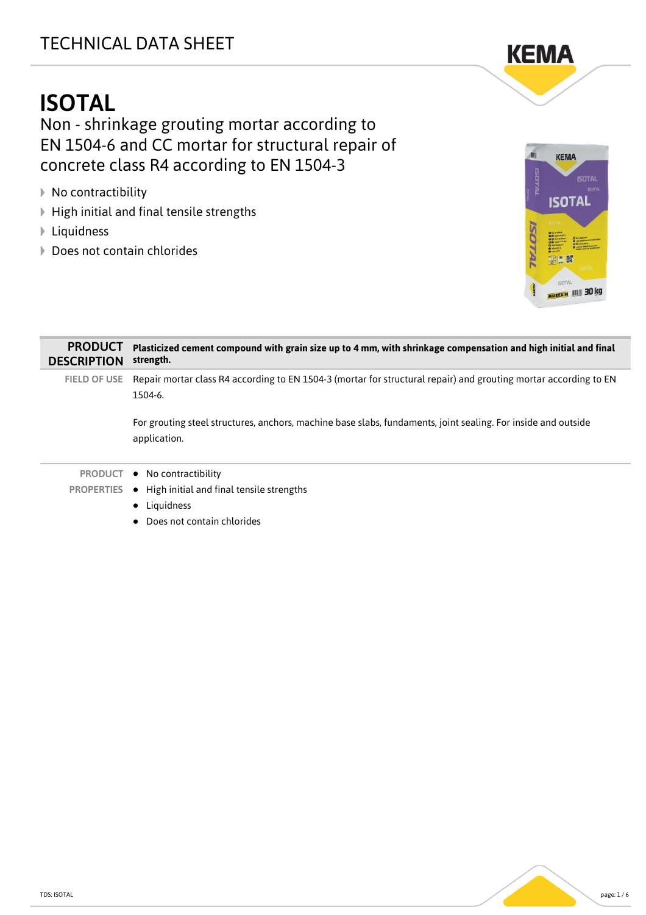## TECHNICAL DATA SHEET

# ISOTAL

## Non - shrinkage grouting mortar according to EN 1504-6 and CC mortar for structural repair of concrete class R4 according to EN 1504-3

- ▶ No contractibility
- $\blacktriangleright$  High initial and final tensile strengths
- **▶ Liquidness**
- ▶ Does not contain chlorides



| <b>PRODUCT</b><br><b>DESCRIPTION</b> | Plasticized cement compound with grain size up to 4 mm, with shrinkage compensation and high initial and final<br>strength.   |
|--------------------------------------|-------------------------------------------------------------------------------------------------------------------------------|
| <b>FIELD OF USE</b>                  | Repair mortar class R4 according to EN 1504-3 (mortar for structural repair) and grouting mortar according to EN<br>1504-6.   |
|                                      | For grouting steel structures, anchors, machine base slabs, fundaments, joint sealing. For inside and outside<br>application. |
|                                      | <b>PRODUCT ● No contractibility</b>                                                                                           |
|                                      | <b>PROPERTIES</b> $\bullet$ High initial and final tensile strengths                                                          |
|                                      | • Liquidness                                                                                                                  |
|                                      | Does not contain chlorides                                                                                                    |



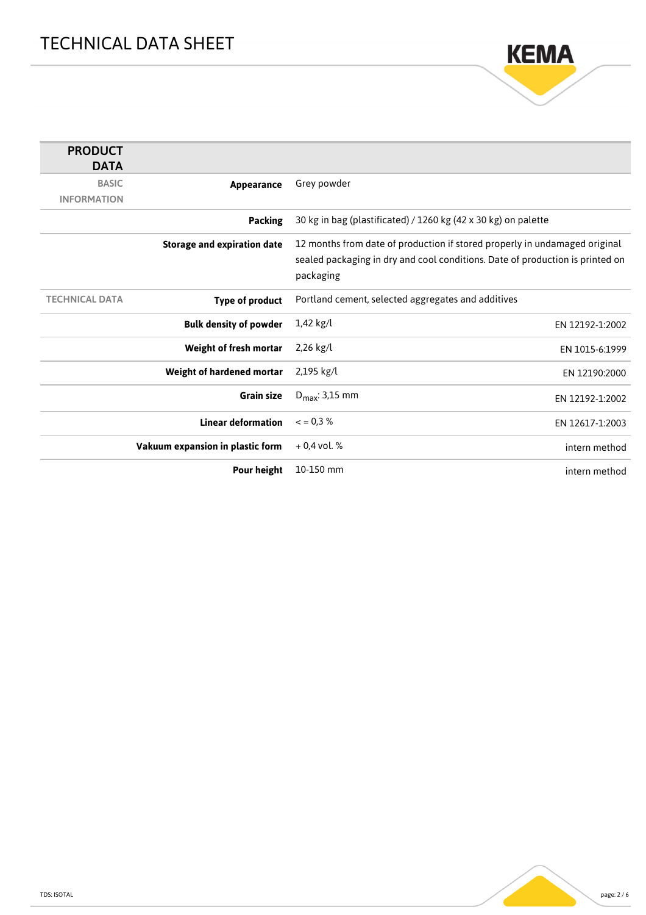

| <b>PRODUCT</b><br><b>DATA</b> |                                    |                                                                                                                                                                          |                 |
|-------------------------------|------------------------------------|--------------------------------------------------------------------------------------------------------------------------------------------------------------------------|-----------------|
| <b>BASIC</b>                  | Appearance                         | Grey powder                                                                                                                                                              |                 |
| <b>INFORMATION</b>            |                                    |                                                                                                                                                                          |                 |
|                               | <b>Packing</b>                     | 30 kg in bag (plastificated) / 1260 kg (42 x 30 kg) on palette                                                                                                           |                 |
|                               | <b>Storage and expiration date</b> | 12 months from date of production if stored properly in undamaged original<br>sealed packaging in dry and cool conditions. Date of production is printed on<br>packaging |                 |
| <b>TECHNICAL DATA</b>         | <b>Type of product</b>             | Portland cement, selected aggregates and additives                                                                                                                       |                 |
|                               | <b>Bulk density of powder</b>      | 1,42 kg/l                                                                                                                                                                | EN 12192-1:2002 |
|                               | Weight of fresh mortar             | 2,26 kg/l                                                                                                                                                                | EN 1015-6:1999  |
|                               | Weight of hardened mortar          | 2,195 kg/l                                                                                                                                                               | EN 12190:2000   |
|                               | <b>Grain size</b>                  | $D_{\text{max}}$ : 3,15 mm                                                                                                                                               | EN 12192-1:2002 |
|                               | <b>Linear deformation</b>          | $\leq$ = 0.3 %                                                                                                                                                           | EN 12617-1:2003 |
|                               | Vakuum expansion in plastic form   | $+0.4$ vol. %                                                                                                                                                            | intern method   |
|                               | Pour height                        | 10-150 mm                                                                                                                                                                | intern method   |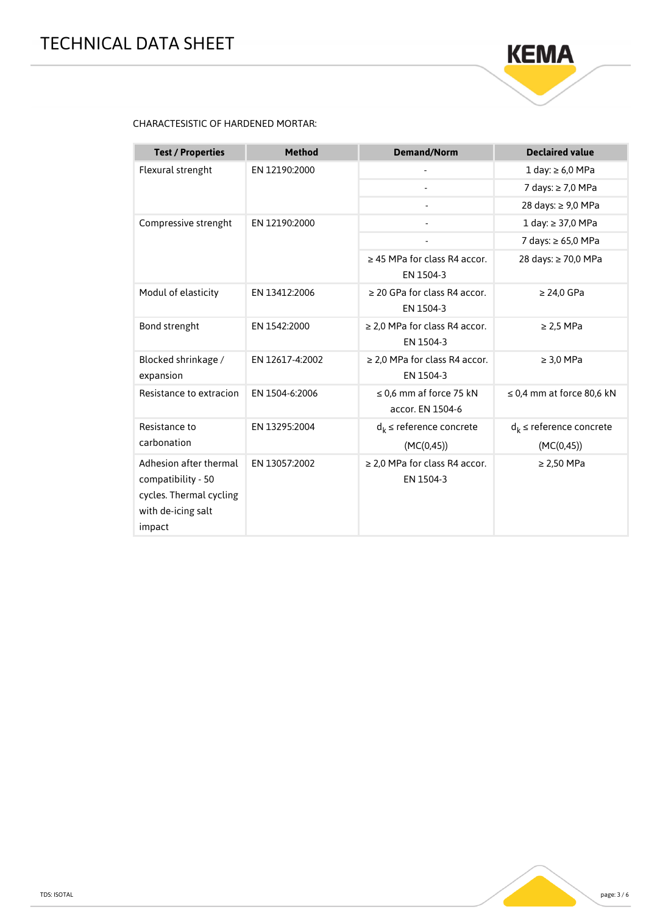

#### CHARACTESISTIC OF HARDENED MORTAR:

| <b>Test / Properties</b>                                                                                | <b>Method</b>   | <b>Demand/Norm</b>                               | <b>Declaired value</b>         |
|---------------------------------------------------------------------------------------------------------|-----------------|--------------------------------------------------|--------------------------------|
| Flexural strenght                                                                                       | EN 12190:2000   |                                                  | 1 day: $\geq 6.0$ MPa          |
|                                                                                                         |                 |                                                  | 7 days: ≥ 7,0 MPa              |
|                                                                                                         |                 |                                                  | 28 days: ≥ 9,0 MPa             |
| Compressive strenght                                                                                    | EN 12190:2000   |                                                  | 1 day: ≥ 37,0 MPa              |
|                                                                                                         |                 |                                                  | 7 days: ≥ 65,0 MPa             |
|                                                                                                         |                 | $\geq$ 45 MPa for class R4 accor.<br>EN 1504-3   | 28 days: ≥ 70,0 MPa            |
| Modul of elasticity                                                                                     | EN 13412:2006   | $\geq$ 20 GPa for class R4 accor.<br>EN 1504-3   | $\geq$ 24,0 GPa                |
| Bond strenght                                                                                           | EN 1542:2000    | $\geq$ 2,0 MPa for class R4 accor.<br>EN 1504-3  | $\geq$ 2,5 MPa                 |
| Blocked shrinkage /<br>expansion                                                                        | EN 12617-4:2002 | ≥ 2,0 MPa for class R4 accor.<br>EN 1504-3       | $\geq$ 3,0 MPa                 |
| Resistance to extracion                                                                                 | EN 1504-6:2006  | $\leq$ 0,6 mm af force 75 kN<br>accor. EN 1504-6 | $\leq$ 0,4 mm at force 80,6 kN |
| Resistance to                                                                                           | EN 13295:2004   | $d_k \leq$ reference concrete                    | $d_k \leq$ reference concrete  |
| carbonation                                                                                             |                 | (MC(0, 45))                                      | (MC(0, 45))                    |
| Adhesion after thermal<br>compatibility - 50<br>cycles. Thermal cycling<br>with de-icing salt<br>impact | EN 13057:2002   | $\geq$ 2,0 MPa for class R4 accor.<br>EN 1504-3  | $\geq$ 2,50 MPa                |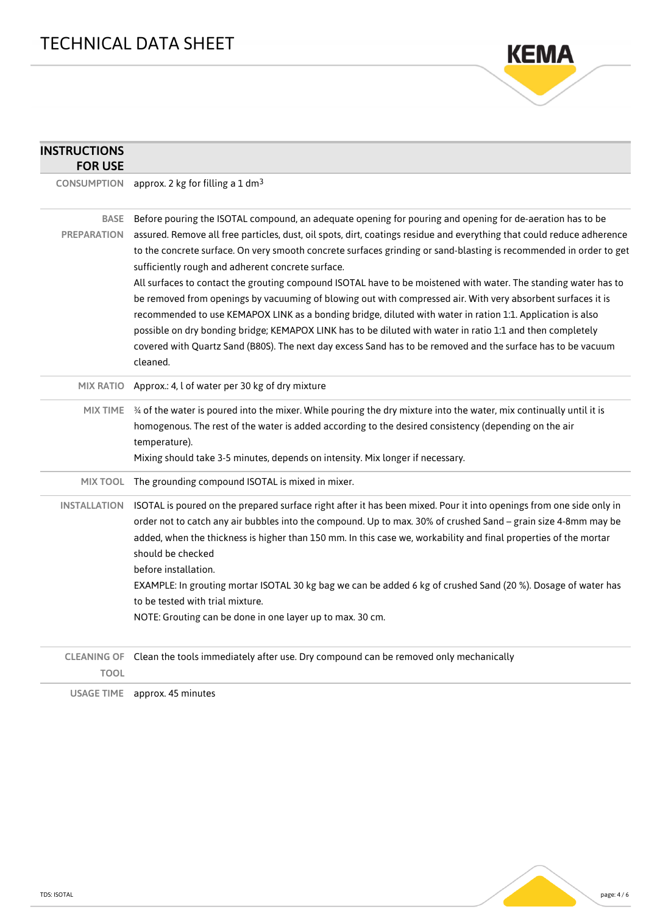

| <b>INSTRUCTIONS</b><br><b>FOR USE</b> |                                                                                                                                                                                                                                                                                                                                                                                                                                                                                                                                                                                         |
|---------------------------------------|-----------------------------------------------------------------------------------------------------------------------------------------------------------------------------------------------------------------------------------------------------------------------------------------------------------------------------------------------------------------------------------------------------------------------------------------------------------------------------------------------------------------------------------------------------------------------------------------|
|                                       | CONSUMPTION approx. 2 kg for filling a 1 dm <sup>3</sup>                                                                                                                                                                                                                                                                                                                                                                                                                                                                                                                                |
| <b>BASE</b><br><b>PREPARATION</b>     | Before pouring the ISOTAL compound, an adequate opening for pouring and opening for de-aeration has to be<br>assured. Remove all free particles, dust, oil spots, dirt, coatings residue and everything that could reduce adherence<br>to the concrete surface. On very smooth concrete surfaces grinding or sand-blasting is recommended in order to get<br>sufficiently rough and adherent concrete surface.                                                                                                                                                                          |
|                                       | All surfaces to contact the grouting compound ISOTAL have to be moistened with water. The standing water has to<br>be removed from openings by vacuuming of blowing out with compressed air. With very absorbent surfaces it is<br>recommended to use KEMAPOX LINK as a bonding bridge, diluted with water in ration 1:1. Application is also<br>possible on dry bonding bridge; KEMAPOX LINK has to be diluted with water in ratio 1:1 and then completely<br>covered with Quartz Sand (B80S). The next day excess Sand has to be removed and the surface has to be vacuum<br>cleaned. |
| <b>MIX RATIO</b>                      | Approx.: 4, l of water per 30 kg of dry mixture                                                                                                                                                                                                                                                                                                                                                                                                                                                                                                                                         |
|                                       | MIX TIME 34 of the water is poured into the mixer. While pouring the dry mixture into the water, mix continually until it is<br>homogenous. The rest of the water is added according to the desired consistency (depending on the air<br>temperature).<br>Mixing should take 3-5 minutes, depends on intensity. Mix longer if necessary.                                                                                                                                                                                                                                                |
|                                       | MIX TOOL The grounding compound ISOTAL is mixed in mixer.                                                                                                                                                                                                                                                                                                                                                                                                                                                                                                                               |
| <b>INSTALLATION</b>                   | ISOTAL is poured on the prepared surface right after it has been mixed. Pour it into openings from one side only in<br>order not to catch any air bubbles into the compound. Up to max. 30% of crushed Sand - grain size 4-8mm may be<br>added, when the thickness is higher than 150 mm. In this case we, workability and final properties of the mortar<br>should be checked<br>before installation.                                                                                                                                                                                  |
|                                       | EXAMPLE: In grouting mortar ISOTAL 30 kg bag we can be added 6 kg of crushed Sand (20 %). Dosage of water has<br>to be tested with trial mixture.<br>NOTE: Grouting can be done in one layer up to max. 30 cm.                                                                                                                                                                                                                                                                                                                                                                          |
| <b>TOOL</b>                           | CLEANING OF Clean the tools immediately after use. Dry compound can be removed only mechanically                                                                                                                                                                                                                                                                                                                                                                                                                                                                                        |

USAGE TIME approx. 45 minutes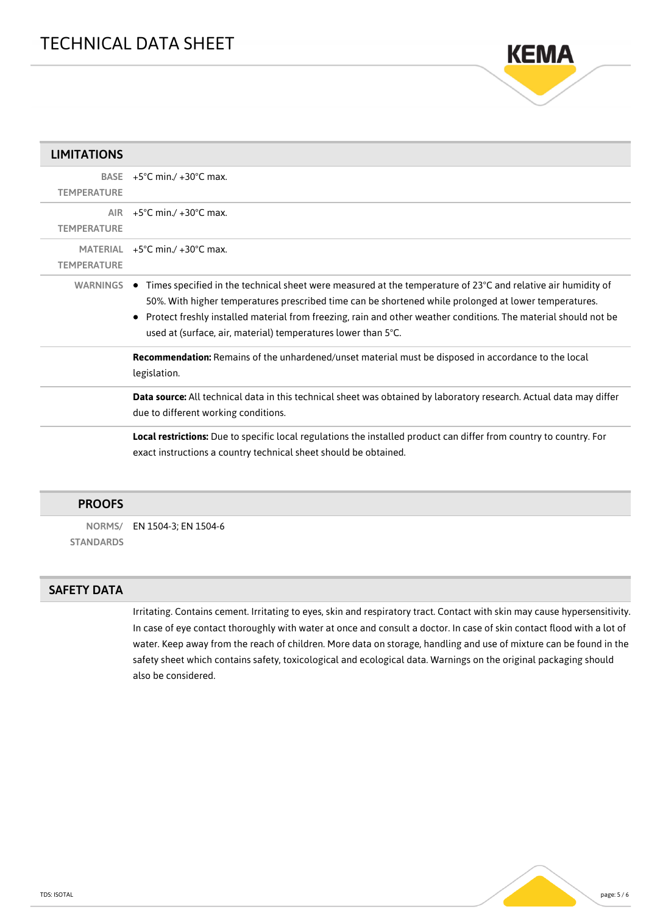

| <b>LIMITATIONS</b>                |                                                                                                                                                                                                                                                                                                                                                                                                                              |
|-----------------------------------|------------------------------------------------------------------------------------------------------------------------------------------------------------------------------------------------------------------------------------------------------------------------------------------------------------------------------------------------------------------------------------------------------------------------------|
| <b>BASE</b><br><b>TEMPERATURE</b> | $+5^{\circ}$ C min./ $+30^{\circ}$ C max.                                                                                                                                                                                                                                                                                                                                                                                    |
| AIR.<br><b>TEMPERATURE</b>        | $+5^{\circ}$ C min./ $+30^{\circ}$ C max.                                                                                                                                                                                                                                                                                                                                                                                    |
| <b>TEMPERATURE</b>                | MATERIAL $+5^{\circ}$ C min./ $+30^{\circ}$ C max.                                                                                                                                                                                                                                                                                                                                                                           |
|                                   | WARNINGS $\bullet$ Times specified in the technical sheet were measured at the temperature of 23°C and relative air humidity of<br>50%. With higher temperatures prescribed time can be shortened while prolonged at lower temperatures.<br>Protect freshly installed material from freezing, rain and other weather conditions. The material should not be<br>used at (surface, air, material) temperatures lower than 5°C. |
|                                   | Recommendation: Remains of the unhardened/unset material must be disposed in accordance to the local<br>legislation.                                                                                                                                                                                                                                                                                                         |
|                                   | Data source: All technical data in this technical sheet was obtained by laboratory research. Actual data may differ<br>due to different working conditions.                                                                                                                                                                                                                                                                  |
|                                   | Local restrictions: Due to specific local regulations the installed product can differ from country to country. For<br>exact instructions a country technical sheet should be obtained.                                                                                                                                                                                                                                      |

#### PROOFS

NORMS/ EN 1504-3; EN 1504-6 **STANDARDS** 

### SAFETY DATA

Irritating. Contains cement. Irritating to eyes, skin and respiratory tract. Contact with skin may cause hypersensitivity. In case of eye contact thoroughly with water at once and consult a doctor. In case of skin contact flood with a lot of water. Keep away from the reach of children. More data on storage, handling and use of mixture can be found in the safety sheet which contains safety, toxicological and ecological data. Warnings on the original packaging should also be considered.